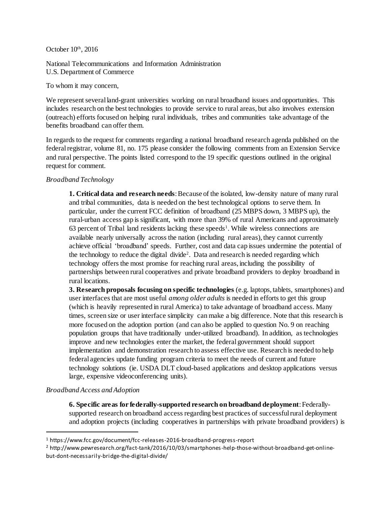## October  $10<sup>th</sup>$ , 2016

National Telecommunications and Information Administration U.S. Department of Commerce

To whom it may concern,

We represent several land-grant universities working on rural broadband issues and opportunities. This includes research on the best technologies to provide service to rural areas, but also involves extension (outreach) efforts focused on helping rural individuals, tribes and communities take advantage of the benefits broadband can offer them.

In regards to the request for comments regarding a national broadband research agenda published on the federal registrar, volume 81, no. 175 please consider the following comments from an Extension Service and rural perspective. The points listed correspond to the 19 specific questions outlined in the original request for comment.

## *Broadband Technology*

**1. Critical data and research needs**: Because of the isolated, low-density nature of many rural and tribal communities, data is needed on the best technological options to serve them. In particular, under the current FCC definition of broadband (25 MBPS down, 3 MBPS up), the rural-urban access gap is significant, with more than 39% of rural Americans and approximately  $63$  percent of Tribal land residents lacking these speeds<sup>1</sup>. While wireless connections are available nearly universally across the nation (including rural areas), they cannot currently achieve official 'broadband' speeds. Further, cost and data cap issues undermine the potential of the technology to reduce the digital divide<sup>2</sup>. Data and research is needed regarding which technology offers the most promise for reaching rural areas, including the possibility of partnerships between rural cooperatives and private broadband providers to deploy broadband in rural locations.

**3. Research proposals focusing on specific technologies** (e.g. laptops, tablets, smartphones) and user interfaces that are most useful *among older adults* is needed in efforts to get this group (which is heavily represented in rural America) to take advantage of broadband access. Many times, screen size or user interface simplicity can make a big difference. Note that this research is more focused on the adoption portion (and can also be applied to question No. 9 on reaching population groups that have traditionally under-utilized broadband). In addition, as technologies improve and new technologies enter the market, the federal government should support implementation and demonstration research to assess effective use. Research is needed to help federal agencies update funding program criteria to meet the needs of current and future technology solutions (ie. USDA DLT cloud-based applications and desktop applications versus large, expensive videoconferencing units).

## *Broadband Access and Adoption*

 $\ddot{\phantom{a}}$ 

**6. Specific areas for federally-supported research on broadband deployment**: Federallysupported research on broadband access regarding best practices of successful rural deployment and adoption projects (including cooperatives in partnerships with private broadband providers) is

<sup>1</sup> https://www.fcc.gov/document/fcc-releases-2016-broadband-progress-report

<sup>2</sup> http://www.pewresearch.org/fact-tank/2016/10/03/smartphones-help-those-without-broadband-get-onlinebut-dont-necessarily-bridge-the-digital-divide/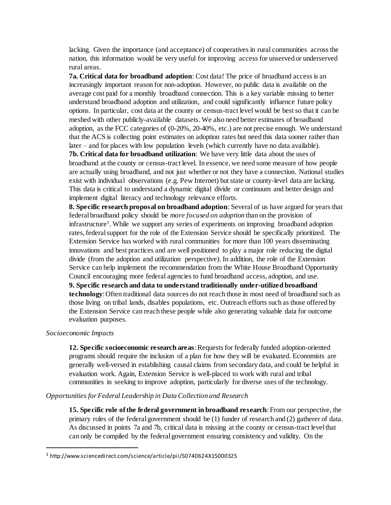lacking. Given the importance (and acceptance) of cooperatives in rural communities across the nation, this information would be very useful for improving access for unserved or underserved rural areas.

**7a. Critical data for broadband adoption**: Cost data! The price of broadband access is an increasingly important reason for non-adoption. However, no public data is available on the average cost paid for a monthly broadband connection. This is a key variable missing to better understand broadband adoption and utilization, and could significantly influence future policy options. In particular, cost data at the county or census-tract level would be best so that it can be meshed with other publicly-available datasets. We also need better estimates of broadband adoption, as the FCC categories of (0-20%, 20-40%, etc.) are not precise enough. We understand that the ACS is collecting point estimates on adoption rates but need this data sooner rather than later – and for places with low population levels (which currently have no data available). **7b. Critical data for broadband utilization**: We have very little data about the uses of broadband at the county or census-tract level. In essence, we need some measure of how people are actually using broadband, and not just whether or not they have a connection. National studies exist with individual observations (e.g. Pew Internet) but state or county-level data are lacking. This data is critical to understand a dynamic digital divide or continuum and better design and implement digital literacy and technology relevance efforts.

**8. Specific research proposal on broadband adoption**: Several of us have argued for years that federal broadband policy should be *more focused on adoption* than on the provision of infrastructure<sup>3</sup>. While we support any series of experiments on improving broadband adoption rates, federal support for the role of the Extension Service should be specifically prioritized. The Extension Service has worked with rural communities for more than 100 years disseminating innovations and best practices and are well positioned to play a major role reducing the digital divide (from the adoption and utilization perspective). In addition, the role of the Extension Service can help implement the recommendation from the White House Broadband Opportunity Council encouraging more federal agencies to fund broadband access, adoption, and use. **9. Specific research and data to understand traditionally under-utilized broadband technology**: Often traditional data sources do not reach those in most need of broadband such as those living on tribal lands, disables populations, etc. Outreach efforts such as those offered by the Extension Service can reach these people while also generating valuable data for outcome evaluation purposes.

#### *Socioeconomic Impacts*

 $\ddot{\phantom{a}}$ 

**12. Specific socioeconomic re search areas**: Requests for federally funded adoption-oriented programs should require the inclusion of a plan for how they will be evaluated. Economists are generally well-versed in establishing causal claims from secondary data, and could be helpful in evaluation work. Again, Extension Service is well-placed to work with rural and tribal communities in seeking to improve adoption, particularly for diverse uses of the technology.

# *Opportunities for Federal Leadership in Data Collection and Research*

**15. Specific role of the federal government in broadband research**: From our perspective, the primary roles of the federal government should be (1) funder of research and (2) gatherer of data. As discussed in points 7a and 7b, critical data is missing at the county or census-tract level that can only be compiled by the federal government ensuring consistency and validity. On the

<sup>3</sup> http://www.sciencedirect.com/science/article/pii/S0740624X15000325